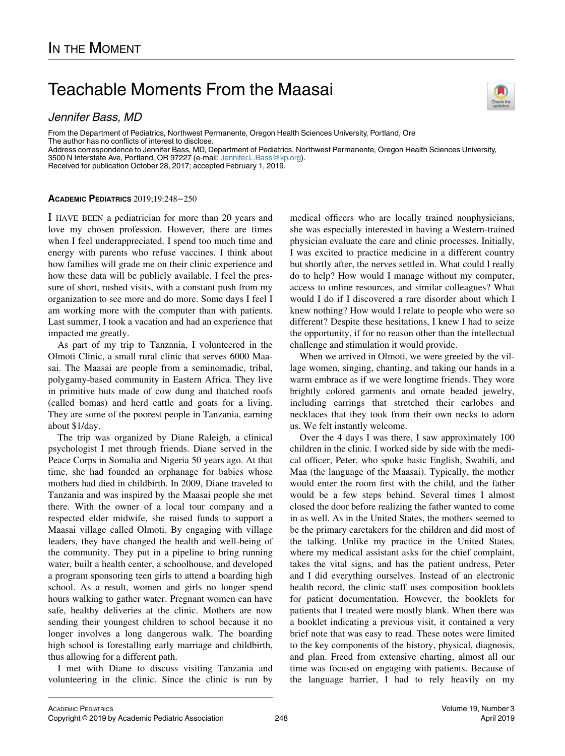## Teachable Moments From the Maasai

Jennifer Bass, MD

From the Department of Pediatrics, Northwest Permanente, Oregon Health Sciences University, Portland, Ore The author has no conflicts of interest to disclose. Address correspondence to Jennifer Bass, MD, Department of Pediatrics, Northwest Permanente, Oregon Health Sciences University,

3500 N Interstate Ave, Portland, OR 97227 (e-mail: [Jennifer.L.Bass@kp.org\)](mailto:Jennifer.L.Bass@kp.org). Received for publication October 28, 2017; accepted February 1, 2019.

## ACADEMIC PEDIATRICS 2019;19:248−250

I HAVE BEEN a pediatrician for more than 20 years and love my chosen profession. However, there are times when I feel underappreciated. I spend too much time and energy with parents who refuse vaccines. I think about how families will grade me on their clinic experience and how these data will be publicly available. I feel the pressure of short, rushed visits, with a constant push from my organization to see more and do more. Some days I feel I am working more with the computer than with patients. Last summer, I took a vacation and had an experience that impacted me greatly.

As part of my trip to Tanzania, I volunteered in the Olmoti Clinic, a small rural clinic that serves 6000 Maasai. The Maasai are people from a seminomadic, tribal, polygamy-based community in Eastern Africa. They live in primitive huts made of cow dung and thatched roofs (called bomas) and herd cattle and goats for a living. They are some of the poorest people in Tanzania, earning about \$1/day.

The trip was organized by Diane Raleigh, a clinical psychologist I met through friends. Diane served in the Peace Corps in Somalia and Nigeria 50 years ago. At that time, she had founded an orphanage for babies whose mothers had died in childbirth. In 2009, Diane traveled to Tanzania and was inspired by the Maasai people she met there. With the owner of a local tour company and a respected elder midwife, she raised funds to support a Maasai village called Olmoti. By engaging with village leaders, they have changed the health and well-being of the community. They put in a pipeline to bring running water, built a health center, a schoolhouse, and developed a program sponsoring teen girls to attend a boarding high school. As a result, women and girls no longer spend hours walking to gather water. Pregnant women can have safe, healthy deliveries at the clinic. Mothers are now sending their youngest children to school because it no longer involves a long dangerous walk. The boarding high school is forestalling early marriage and childbirth, thus allowing for a different path.

I met with Diane to discuss visiting Tanzania and volunteering in the clinic. Since the clinic is run by medical officers who are locally trained nonphysicians, she was especially interested in having a Western-trained physician evaluate the care and clinic processes. Initially, I was excited to practice medicine in a different country but shortly after, the nerves settled in. What could I really do to help? How would I manage without my computer, access to online resources, and similar colleagues? What would I do if I discovered a rare disorder about which I knew nothing? How would I relate to people who were so different? Despite these hesitations, I knew I had to seize the opportunity, if for no reason other than the intellectual challenge and stimulation it would provide.

When we arrived in Olmoti, we were greeted by the village women, singing, chanting, and taking our hands in a warm embrace as if we were longtime friends. They wore brightly colored garments and ornate beaded jewelry, including earrings that stretched their earlobes and necklaces that they took from their own necks to adorn us. We felt instantly welcome.

Over the 4 days I was there, I saw approximately 100 children in the clinic. I worked side by side with the medical officer, Peter, who spoke basic English, Swahili, and Maa (the language of the Maasai). Typically, the mother would enter the room first with the child, and the father would be a few steps behind. Several times I almost closed the door before realizing the father wanted to come in as well. As in the United States, the mothers seemed to be the primary caretakers for the children and did most of the talking. Unlike my practice in the United States, where my medical assistant asks for the chief complaint, takes the vital signs, and has the patient undress, Peter and I did everything ourselves. Instead of an electronic health record, the clinic staff uses composition booklets for patient documentation. However, the booklets for patients that I treated were mostly blank. When there was a booklet indicating a previous visit, it contained a very brief note that was easy to read. These notes were limited to the key components of the history, physical, diagnosis, and plan. Freed from extensive charting, almost all our time was focused on engaging with patients. Because of the language barrier, I had to rely heavily on my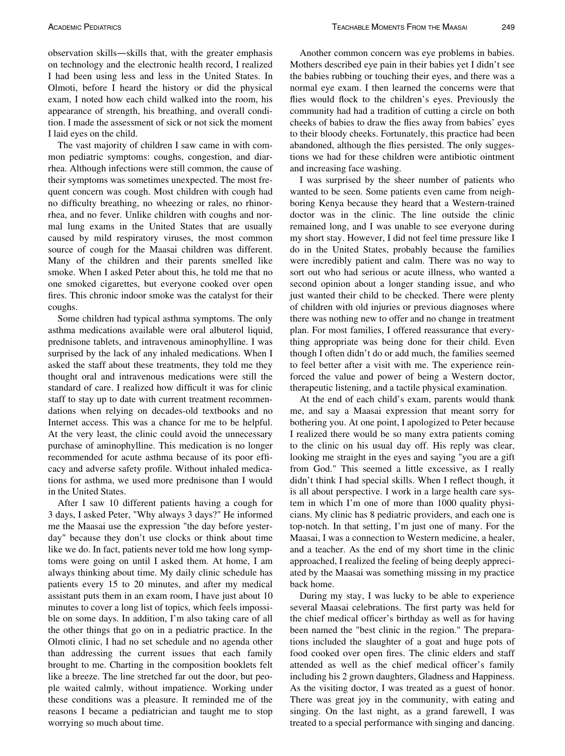observation skills—skills that, with the greater emphasis on technology and the electronic health record, I realized I had been using less and less in the United States. In Olmoti, before I heard the history or did the physical exam, I noted how each child walked into the room, his appearance of strength, his breathing, and overall condition. I made the assessment of sick or not sick the moment I laid eyes on the child.

The vast majority of children I saw came in with common pediatric symptoms: coughs, congestion, and diarrhea. Although infections were still common, the cause of their symptoms was sometimes unexpected. The most frequent concern was cough. Most children with cough had no difficulty breathing, no wheezing or rales, no rhinorrhea, and no fever. Unlike children with coughs and normal lung exams in the United States that are usually caused by mild respiratory viruses, the most common source of cough for the Maasai children was different. Many of the children and their parents smelled like smoke. When I asked Peter about this, he told me that no one smoked cigarettes, but everyone cooked over open fires. This chronic indoor smoke was the catalyst for their coughs.

Some children had typical asthma symptoms. The only asthma medications available were oral albuterol liquid, prednisone tablets, and intravenous aminophylline. I was surprised by the lack of any inhaled medications. When I asked the staff about these treatments, they told me they thought oral and intravenous medications were still the standard of care. I realized how difficult it was for clinic staff to stay up to date with current treatment recommendations when relying on decades-old textbooks and no Internet access. This was a chance for me to be helpful. At the very least, the clinic could avoid the unnecessary purchase of aminophylline. This medication is no longer recommended for acute asthma because of its poor efficacy and adverse safety profile. Without inhaled medications for asthma, we used more prednisone than I would in the United States.

After I saw 10 different patients having a cough for 3 days, I asked Peter, "Why always 3 days?" He informed me the Maasai use the expression "the day before yesterday" because they don't use clocks or think about time like we do. In fact, patients never told me how long symptoms were going on until I asked them. At home, I am always thinking about time. My daily clinic schedule has patients every 15 to 20 minutes, and after my medical assistant puts them in an exam room, I have just about 10 minutes to cover a long list of topics, which feels impossible on some days. In addition, I'm also taking care of all the other things that go on in a pediatric practice. In the Olmoti clinic, I had no set schedule and no agenda other than addressing the current issues that each family brought to me. Charting in the composition booklets felt like a breeze. The line stretched far out the door, but people waited calmly, without impatience. Working under these conditions was a pleasure. It reminded me of the reasons I became a pediatrician and taught me to stop worrying so much about time.

Another common concern was eye problems in babies. Mothers described eye pain in their babies yet I didn't see the babies rubbing or touching their eyes, and there was a normal eye exam. I then learned the concerns were that flies would flock to the children's eyes. Previously the community had had a tradition of cutting a circle on both cheeks of babies to draw the flies away from babies' eyes to their bloody cheeks. Fortunately, this practice had been abandoned, although the flies persisted. The only suggestions we had for these children were antibiotic ointment and increasing face washing.

I was surprised by the sheer number of patients who wanted to be seen. Some patients even came from neighboring Kenya because they heard that a Western-trained doctor was in the clinic. The line outside the clinic remained long, and I was unable to see everyone during my short stay. However, I did not feel time pressure like I do in the United States, probably because the families were incredibly patient and calm. There was no way to sort out who had serious or acute illness, who wanted a second opinion about a longer standing issue, and who just wanted their child to be checked. There were plenty of children with old injuries or previous diagnoses where there was nothing new to offer and no change in treatment plan. For most families, I offered reassurance that everything appropriate was being done for their child. Even though I often didn't do or add much, the families seemed to feel better after a visit with me. The experience reinforced the value and power of being a Western doctor, therapeutic listening, and a tactile physical examination.

At the end of each child's exam, parents would thank me, and say a Maasai expression that meant sorry for bothering you. At one point, I apologized to Peter because I realized there would be so many extra patients coming to the clinic on his usual day off. His reply was clear, looking me straight in the eyes and saying "you are a gift from God." This seemed a little excessive, as I really didn't think I had special skills. When I reflect though, it is all about perspective. I work in a large health care system in which I'm one of more than 1000 quality physicians. My clinic has 8 pediatric providers, and each one is top-notch. In that setting, I'm just one of many. For the Maasai, I was a connection to Western medicine, a healer, and a teacher. As the end of my short time in the clinic approached, I realized the feeling of being deeply appreciated by the Maasai was something missing in my practice back home.

During my stay, I was lucky to be able to experience several Maasai celebrations. The first party was held for the chief medical officer's birthday as well as for having been named the "best clinic in the region." The preparations included the slaughter of a goat and huge pots of food cooked over open fires. The clinic elders and staff attended as well as the chief medical officer's family including his 2 grown daughters, Gladness and Happiness. As the visiting doctor, I was treated as a guest of honor. There was great joy in the community, with eating and singing. On the last night, as a grand farewell, I was treated to a special performance with singing and dancing.